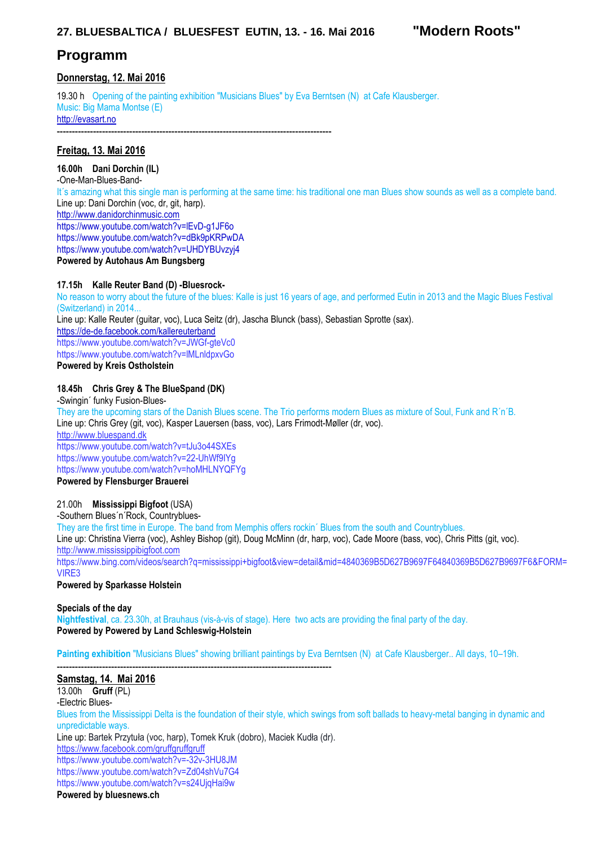# **27. BLUESBALTICA / BLUESFEST EUTIN, 13. - 16. Mai 2016 "Modern Roots"**

# **Programm**

# **Donnerstag, 12. Mai 2016**

19.30 h Opening of the painting exhibition "Musicians Blues" by Eva Berntsen (N) at Cafe Klausberger. Music: Big Mama Montse (E) http://evasart.no

-------------------------------------------------------------------------------------------

# **Freitag, 13. Mai 2016**

## **16.00h Dani Dorchin (IL)**

-One-Man-Blues-Band-It´s amazing what this single man is performing at the same time: his traditional one man Blues show sounds as well as a complete band. Line up: Dani Dorchin (voc. dr. git, harp). http://www.danidorchinmusic.com https://www.youtube.com/watch?v=lEvD-g1JF6o https://www.youtube.com/watch?v=dBk9pKRPwDA https://www.youtube.com/watch?v=UHDYBUvzyj4 **Powered by Autohaus Am Bungsberg** 

## **17.15h Kalle Reuter Band (D) -Bluesrock-**

No reason to worry about the future of the blues: Kalle is just 16 years of age, and performed Eutin in 2013 and the Magic Blues Festival (Switzerland) in 2014... Line up: Kalle Reuter (guitar, voc), Luca Seitz (dr), Jascha Blunck (bass), Sebastian Sprotte (sax). https://de-de.facebook.com/kallereuterband https://www.youtube.com/watch?v=JWGf-gteVc0 https://www.youtube.com/watch?v=lMLnldpxvGo **Powered by Kreis Ostholstein** 

# **18.45h Chris Grey & The BlueSpand (DK)**

-Swingin´ funky Fusion-Blues-

They are the upcoming stars of the Danish Blues scene. The Trio performs modern Blues as mixture of Soul, Funk and R´n´B. Line up: Chris Grey (git, voc), Kasper Lauersen (bass, voc), Lars Frimodt-Møller (dr, voc). http://www.bluespand.dk https://www.youtube.com/watch?v=tJu3o44SXEs https://www.youtube.com/watch?v=22-UhWf9IYg

https://www.youtube.com/watch?v=hoMHLNYQFYg

## **Powered by Flensburger Brauerei**

### 21.00h **Mississippi Bigfoot** (USA)

-Southern Blues´n´Rock, Countryblues-

They are the first time in Europe. The band from Memphis offers rockin´ Blues from the south and Countryblues.

Line up: Christina Vierra (voc), Ashley Bishop (git), Doug McMinn (dr, harp, voc), Cade Moore (bass, voc), Chris Pitts (git, voc). http://www.mississippibigfoot.com

https://www.bing.com/videos/search?q=mississippi+bigfoot&view=detail&mid=4840369B5D627B9697F64840369B5D627B9697F6&FORM= VIRE3

### **Powered by Sparkasse Holstein**

**Specials of the day Nightfestival**, ca. 23.30h, at Brauhaus (vis-à-vis of stage). Here two acts are providing the final party of the day. **Powered by Powered by Land Schleswig-Holstein**

**Painting exhibition** "Musicians Blues" showing brilliant paintings by Eva Berntsen (N) at Cafe Klausberger.. All days, 10–19h.

#### ------------------------------------------------------------------------------------------- **Samstag, 14. Mai 2016**

13.00h **Gruff** (PL) -Electric Blues-Blues from the Mississippi Delta is the foundation of their style, which swings from soft ballads to heavy-metal banging in dynamic and unpredictable ways. Line up: Bartek Przytuła (voc, harp), Tomek Kruk (dobro), Maciek Kudła (dr). https://www.facebook.com/gruffgruffgruff https://www.youtube.com/watch?v=-32v-3HU8JM https://www.youtube.com/watch?v=Zd04shVu7G4 https://www.youtube.com/watch?v=s24UjqHai9w

**Powered by bluesnews.ch**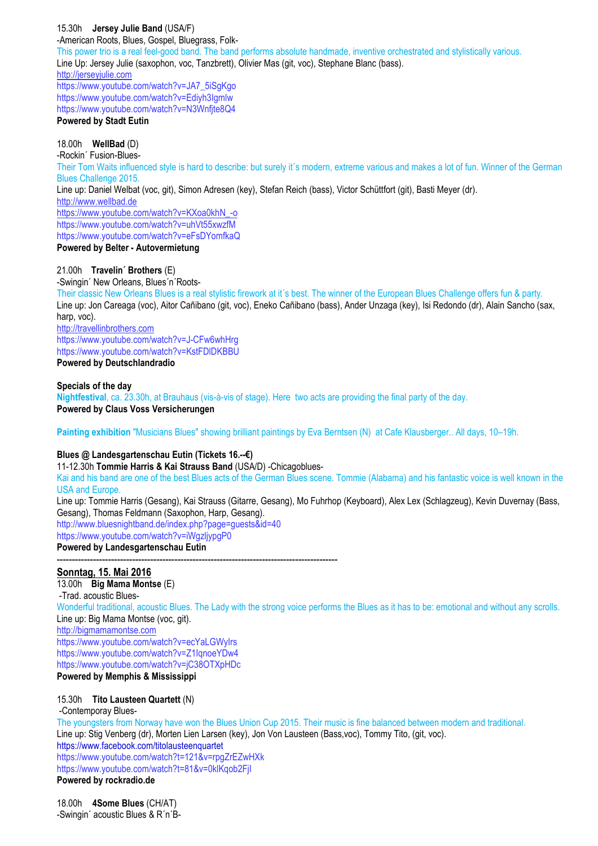15.30h **Jersey Julie Band** (USA/F) -American Roots, Blues, Gospel, Bluegrass, Folk-This power trio is a real feel-good band. The band performs absolute handmade, inventive orchestrated and stylistically various. Line Up: Jersey Julie (saxophon, voc, Tanzbrett), Olivier Mas (git, voc), Stephane Blanc (bass). http://jerseyjulie.com https://www.youtube.com/watch?v=JA7\_5iSgKgo https://www.youtube.com/watch?v=Ediyh3Igmlw https://www.youtube.com/watch?v=N3Wnfjte8Q4 **Powered by Stadt Eutin**  18.00h **WellBad** (D)

-Rockin´ Fusion-Blues-Their Tom Waits influenced style is hard to describe: but surely it´s modern, extreme various and makes a lot of fun. Winner of the German Blues Challenge 2015. Line up: Daniel Welbat (voc, git), Simon Adresen (key), Stefan Reich (bass), Victor Schüttfort (git), Basti Meyer (dr). http://www.wellbad.de https://www.youtube.com/watch?v=KXoa0khN\_-o https://www.youtube.com/watch?v=uhVt55xwzfM https://www.youtube.com/watch?v=eFsDYomfkaQ **Powered by Belter - Autovermietung** 

### 21.00h **Travelin´ Brothers** (E)

-Swingin´ New Orleans, Blues´n´Roots-

Their classic New Orleans Blues is a real stylistic firework at it´s best. The winner of the European Blues Challenge offers fun & party. Line up: Jon Careaga (voc), Aitor Cañibano (git, voc), Eneko Cañibano (bass), Ander Unzaga (key), Isi Redondo (dr), Alain Sancho (sax, harp, voc).

http://travellinbrothers.com https://www.youtube.com/watch?v=J-CFw6whHrg https://www.youtube.com/watch?v=KstFDlDKBBU **Powered by Deutschlandradio** 

#### **Specials of the day**

**Nightfestival**, ca. 23.30h, at Brauhaus (vis-à-vis of stage). Here two acts are providing the final party of the day. **Powered by Claus Voss Versicherungen** 

**Painting exhibition** "Musicians Blues" showing brilliant paintings by Eva Berntsen (N) at Cafe Klausberger.. All days, 10–19h.

### **Blues @ Landesgartenschau Eutin (Tickets 16.--€)**

11-12.30h **Tommie Harris & Kai Strauss Band** (USA/D) -Chicagoblues-

Kai and his band are one of the best Blues acts of the German Blues scene. Tommie (Alabama) and his fantastic voice is well known in the USA and Europe.

Line up: Tommie Harris (Gesang), Kai Strauss (Gitarre, Gesang), Mo Fuhrhop (Keyboard), Alex Lex (Schlagzeug), Kevin Duvernay (Bass, Gesang), Thomas Feldmann (Saxophon, Harp, Gesang).

http://www.bluesnightband.de/index.php?page=guests&id=40 https://www.youtube.com/watch?v=iWgzljypgP0

**Powered by Landesgartenschau Eutin**  ---------------------------------------------------------------------------------------------

### **Sonntag, 15. Mai 2016**

13.00h **Big Mama Montse** (E) -Trad. acoustic Blues-Wonderful traditional, acoustic Blues. The Lady with the strong voice performs the Blues as it has to be: emotional and without any scrolls. Line up: Big Mama Montse (voc, git). http://bigmamamontse.com https://www.youtube.com/watch?v=ecYaLGWyIrs https://www.youtube.com/watch?v=Z1IqnoeYDw4 https://www.youtube.com/watch?v=jC38OTXpHDc **Powered by Memphis & Mississippi** 

## 15.30h **Tito Lausteen Quartett** (N)

-Contemporay Blues-

The youngsters from Norway have won the Blues Union Cup 2015. Their music is fine balanced between modern and traditional. Line up: Stig Venberg (dr), Morten Lien Larsen (key), Jon Von Lausteen (Bass,voc), Tommy Tito, (git, voc). https://www.facebook.com/titolausteenquartet https://www.youtube.com/watch?t=121&v=rpgZrEZwHXk https://www.youtube.com/watch?t=81&v=0klKqob2FjI **Powered by rockradio.de** 

18.00h **4Some Blues** (CH/AT) -Swingin´ acoustic Blues & R´n´B-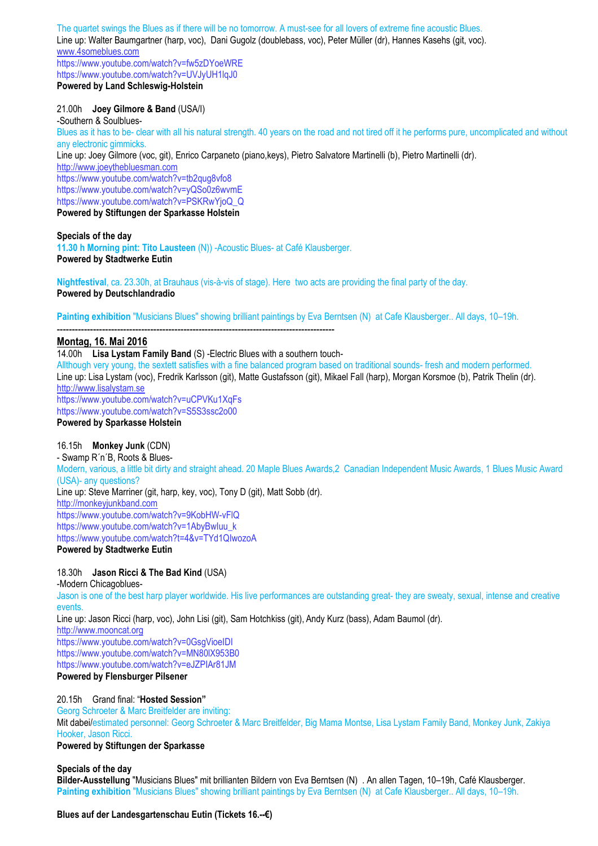The quartet swings the Blues as if there will be no tomorrow. A must-see for all lovers of extreme fine acoustic Blues. Line up: Walter Baumgartner (harp, voc), Dani Gugolz (doublebass, voc), Peter Müller (dr), Hannes Kasehs (git, voc). www.4someblues.com https://www.youtube.com/watch?v=fw5zDYoeWRE https://www.youtube.com/watch?v=UVJyUH1lqJ0

**Powered by Land Schleswig-Holstein** 

### 21.00h **Joey Gilmore & Band** (USA/I)

-Southern & Soulblues-Blues as it has to be- clear with all his natural strength. 40 years on the road and not tired off it he performs pure, uncomplicated and without any electronic gimmicks. Line up: Joey Gilmore (voc, git), Enrico Carpaneto (piano,keys), Pietro Salvatore Martinelli (b), Pietro Martinelli (dr). http://www.joeythebluesman.com https://www.youtube.com/watch?v=tb2qug8vfo8 https://www.youtube.com/watch?v=yQSo0z6wvmE https://www.youtube.com/watch?v=PSKRwYjoQ\_Q **Powered by Stiftungen der Sparkasse Holstein** 

**Specials of the day 11.30 h Morning pint: Tito Lausteen** (N)) -Acoustic Blues- at Café Klausberger. **Powered by Stadtwerke Eutin** 

**Nightfestival**, ca. 23.30h, at Brauhaus (vis-à-vis of stage). Here two acts are providing the final party of the day. **Powered by Deutschlandradio** 

**Painting exhibition** "Musicians Blues" showing brilliant paintings by Eva Berntsen (N) at Cafe Klausberger.. All days, 10–19h.

#### -------------------------------------------------------------------------------------------- **Montag, 16. Mai 2016**

#### 14.00h **Lisa Lystam Family Band** (S) -Electric Blues with a southern touch-

Allthough very young, the sextett satisfies with a fine balanced program based on traditional sounds- fresh and modern performed. Line up: Lisa Lystam (voc), Fredrik Karlsson (git), Matte Gustafsson (git), Mikael Fall (harp), Morgan Korsmoe (b), Patrik Thelin (dr). http://www.lisalystam.se https://www.youtube.com/watch?v=uCPVKu1XqFs https://www.youtube.com/watch?v=S5S3ssc2o00 **Powered by Sparkasse Holstein** 

### 16.15h **Monkey Junk** (CDN)

- Swamp R´n´B, Roots & Blues-Modern, various, a little bit dirty and straight ahead. 20 Maple Blues Awards,2 Canadian Independent Music Awards, 1 Blues Music Award (USA)- any questions? Line up: Steve Marriner (git, harp, key, voc), Tony D (git), Matt Sobb (dr). http://monkeyjunkband.com https://www.youtube.com/watch?v=9KobHW-vFlQ https://www.youtube.com/watch?v=1AbyBwIuu\_k https://www.youtube.com/watch?t=4&v=TYd1QIwozoA **Powered by Stadtwerke Eutin** 

# 18.30h **Jason Ricci & The Bad Kind** (USA)

-Modern Chicagoblues-Jason is one of the best harp player worldwide. His live performances are outstanding great- they are sweaty, sexual, intense and creative events.

Line up: Jason Ricci (harp, voc), John Lisi (git), Sam Hotchkiss (git), Andy Kurz (bass), Adam Baumol (dr).

http://www.mooncat.org

https://www.youtube.com/watch?v=0GsgVioeIDI https://www.youtube.com/watch?v=MN80lX953B0 https://www.youtube.com/watch?v=eJZPIAr81JM **Powered by Flensburger Pilsener** 

#### 20.15h Grand final: "**Hosted Session"**

Georg Schroeter & Marc Breitfelder are inviting:

Mit dabei/estimated personnel: Georg Schroeter & Marc Breitfelder, Big Mama Montse, Lisa Lystam Family Band, Monkey Junk, Zakiya Hooker, Jason Ricci.

#### **Powered by Stiftungen der Sparkasse**

#### **Specials of the day**

**Bilder-Ausstellung** "Musicians Blues" mit brillianten Bildern von Eva Berntsen (N) . An allen Tagen, 10–19h, Café Klausberger. **Painting exhibition** "Musicians Blues" showing brilliant paintings by Eva Berntsen (N) at Cafe Klausberger.. All days, 10–19h.

**Blues auf der Landesgartenschau Eutin (Tickets 16.--€)**